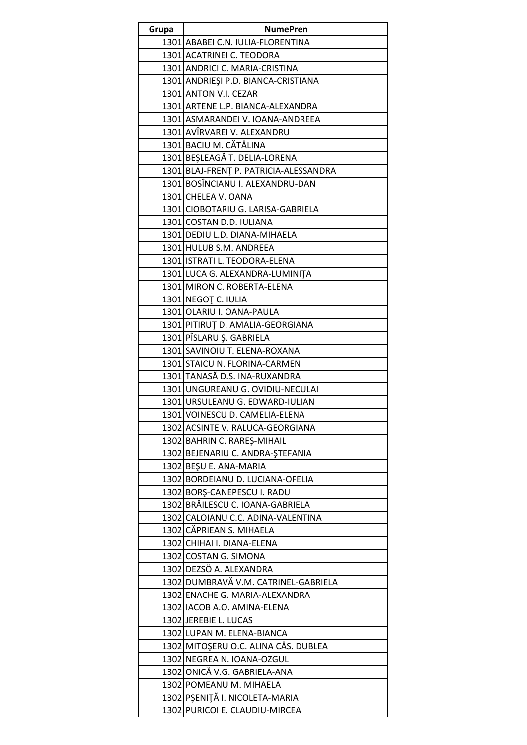| Grupa | <b>NumePren</b>                                                        |
|-------|------------------------------------------------------------------------|
|       | 1301 ABABEI C.N. IULIA-FLORENTINA                                      |
|       | 1301 ACATRINEI C. TEODORA                                              |
|       | 1301 ANDRICI C. MARIA-CRISTINA                                         |
|       | 1301 ANDRIEȘI P.D. BIANCA-CRISTIANA                                    |
|       | 1301 ANTON V.I. CEZAR                                                  |
|       | 1301 ARTENE L.P. BIANCA-ALEXANDRA                                      |
|       | 1301 ASMARANDEI V. IOANA-ANDREEA                                       |
|       | 1301 AVÎRVAREI V. ALEXANDRU                                            |
|       | 1301 BACIU M. CĂTĂLINA                                                 |
|       | 1301 BEŞLEAGĂ T. DELIA-LORENA                                          |
|       | 1301 BLAJ-FRENT P. PATRICIA-ALESSANDRA                                 |
|       | 1301 BOSÎNCIANU I. ALEXANDRU-DAN                                       |
|       | 1301 CHELEA V. OANA                                                    |
|       | 1301 CIOBOTARIU G. LARISA-GABRIELA                                     |
|       | 1301 COSTAN D.D. IULIANA                                               |
|       | 1301 DEDIU L.D. DIANA-MIHAELA                                          |
|       | 1301 HULUB S.M. ANDREEA                                                |
|       | 1301 ISTRATI L. TEODORA-ELENA                                          |
|       | 1301 LUCA G. ALEXANDRA-LUMINITA                                        |
|       | 1301 MIRON C. ROBERTA-ELENA                                            |
|       | 1301 NEGOȚ C. IULIA                                                    |
|       | 1301 OLARIU I. OANA-PAULA                                              |
|       | 1301 PITIRUT D. AMALIA-GEORGIANA                                       |
|       | 1301 PÎSLARU Ş. GABRIELA                                               |
|       | 1301 SAVINOIU T. ELENA-ROXANA                                          |
|       | 1301 STAICU N. FLORINA-CARMEN                                          |
|       | 1301 TANASĂ D.S. INA-RUXANDRA                                          |
|       | 1301 UNGUREANU G. OVIDIU-NECULAI                                       |
|       | 1301 URSULEANU G. EDWARD-IULIAN                                        |
|       | 1301 VOINESCU D. CAMELIA-ELENA                                         |
|       | 1302 ACSINTE V. RALUCA-GEORGIANA                                       |
|       | 1302 BAHRIN C. RAREŞ-MIHAIL                                            |
|       | 1302 BEJENARIU C. ANDRA-ȘTEFANIA                                       |
|       | 1302 BEŞU E. ANA-MARIA                                                 |
|       | 1302 BORDEIANU D. LUCIANA-OFELIA                                       |
|       | 1302 BORŞ-CANEPESCU I. RADU                                            |
|       | 1302 BRĂILESCU C. IOANA-GABRIELA<br>1302 CALOIANU C.C. ADINA-VALENTINA |
|       | 1302 CĂPRIEAN S. MIHAELA                                               |
|       | 1302 CHIHAI I. DIANA-ELENA                                             |
|       | 1302 COSTAN G. SIMONA                                                  |
|       | 1302 DEZSÖ A. ALEXANDRA                                                |
|       | 1302 DUMBRAVĂ V.M. CATRINEL-GABRIELA                                   |
|       | 1302 ENACHE G. MARIA-ALEXANDRA                                         |
|       | 1302 IACOB A.O. AMINA-ELENA                                            |
|       | 1302 JEREBIE L. LUCAS                                                  |
|       | 1302 LUPAN M. ELENA-BIANCA                                             |
|       | 1302 MITOȘERU O.C. ALINA CĂS. DUBLEA                                   |
|       | 1302 NEGREA N. IOANA-OZGUL                                             |
|       | 1302 ONICĂ V.G. GABRIELA-ANA                                           |
|       | 1302 POMEANU M. MIHAELA                                                |
|       | 1302 PŞENITĂ I. NICOLETA-MARIA                                         |
|       | 1302 PURICOI E. CLAUDIU-MIRCEA                                         |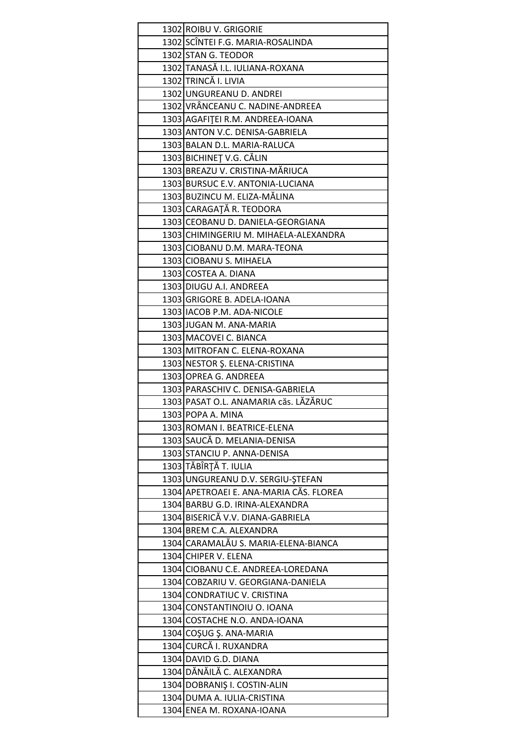| 1302 ROIBU V. GRIGORIE                                   |
|----------------------------------------------------------|
| 1302 SCÎNTEI F.G. MARIA-ROSALINDA                        |
| 1302 STAN G. TEODOR                                      |
| 1302 TANASĂ I.L. IULIANA-ROXANA                          |
| 1302 TRINCĂ I. LIVIA                                     |
| 1302 UNGUREANU D. ANDREI                                 |
| 1302 VRÂNCEANU C. NADINE-ANDREEA                         |
| 1303 AGAFITEI R.M. ANDREEA-IOANA                         |
| 1303 ANTON V.C. DENISA-GABRIELA                          |
| 1303 BALAN D.L. MARIA-RALUCA                             |
| 1303 BICHINEȚ V.G. CĂLIN                                 |
| 1303 BREAZU V. CRISTINA-MĂRIUCA                          |
| 1303 BURSUC E.V. ANTONIA-LUCIANA                         |
| 1303 BUZINCU M. ELIZA-MĂLINA                             |
| 1303 CARAGAȚĂ R. TEODORA                                 |
| 1303 CEOBANU D. DANIELA-GEORGIANA                        |
| 1303 CHIMINGERIU M. MIHAELA-ALEXANDRA                    |
| 1303 CIOBANU D.M. MARA-TEONA                             |
| 1303 CIOBANU S. MIHAELA                                  |
| 1303 COSTEA A. DIANA                                     |
| 1303 DIUGU A.I. ANDREEA                                  |
| 1303 GRIGORE B. ADELA-IOANA                              |
| 1303 IACOB P.M. ADA-NICOLE                               |
| 1303 JUGAN M. ANA-MARIA                                  |
| 1303 MACOVEI C. BIANCA                                   |
| 1303 MITROFAN C. ELENA-ROXANA                            |
| 1303 NESTOR Ş. ELENA-CRISTINA                            |
|                                                          |
| 1303 OPREA G. ANDREEA                                    |
| 1303 PARASCHIV C. DENISA-GABRIELA                        |
| 1303 PASAT O.L. ANAMARIA căs. LĂZĂRUC                    |
| 1303 POPA A. MINA                                        |
| 1303 ROMAN I. BEATRICE-ELENA                             |
| 1303 SAUCĂ D. MELANIA-DENISA                             |
| 1303 STANCIU P. ANNA-DENISA                              |
| 1303 TĂBÎRȚĂ T. IULIA                                    |
| 1303 UNGUREANU D.V. SERGIU-ȘTEFAN                        |
| 1304 APETROAEI E. ANA-MARIA CĂS. FLOREA                  |
| 1304 BARBU G.D. IRINA-ALEXANDRA                          |
| 1304 BISERICĂ V.V. DIANA-GABRIELA                        |
| 1304 BREM C.A. ALEXANDRA                                 |
| 1304 CARAMALĂU S. MARIA-ELENA-BIANCA                     |
| 1304 CHIPER V. ELENA                                     |
| 1304 CIOBANU C.E. ANDREEA-LOREDANA                       |
| 1304 COBZARIU V. GEORGIANA-DANIELA                       |
| 1304 CONDRATIUC V. CRISTINA                              |
| 1304 CONSTANTINOIU O. IOANA                              |
| 1304 COSTACHE N.O. ANDA-IOANA                            |
|                                                          |
| 1304 COŞUG Ş. ANA-MARIA                                  |
| 1304 CURCĂ I. RUXANDRA                                   |
| 1304 DAVID G.D. DIANA                                    |
| 1304 DĂNĂILĂ C. ALEXANDRA                                |
| 1304 DOBRANIŞ I. COSTIN-ALIN                             |
| 1304 DUMA A. IULIA-CRISTINA<br>1304 ENEA M. ROXANA-IOANA |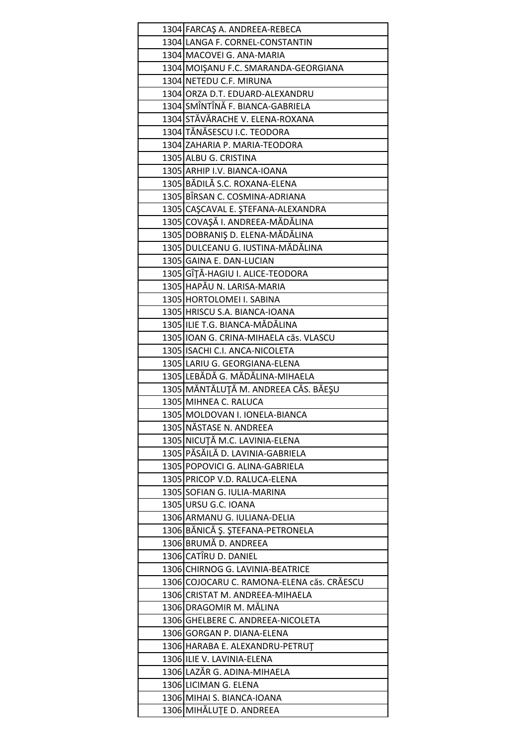| 1304 FARCAŞ A. ANDREEA-REBECA              |
|--------------------------------------------|
| 1304 LANGA F. CORNEL-CONSTANTIN            |
| 1304 MACOVEI G. ANA-MARIA                  |
| 1304 MOISANU F.C. SMARANDA-GEORGIANA       |
| 1304 NETEDU C.F. MIRUNA                    |
| 1304 ORZA D.T. EDUARD-ALEXANDRU            |
| 1304 SMÎNTÎNĂ F. BIANCA-GABRIELA           |
| 1304 STĂVĂRACHE V. ELENA-ROXANA            |
| 1304 TĂNĂSESCU I.C. TEODORA                |
| 1304 ZAHARIA P. MARIA-TEODORA              |
| 1305 ALBU G. CRISTINA                      |
| 1305 ARHIP I.V. BIANCA-IOANA               |
| 1305 BĂDILĂ S.C. ROXANA-ELENA              |
| 1305 BÎRSAN C. COSMINA-ADRIANA             |
| 1305 CAŞCAVAL E. ŞTEFANA-ALEXANDRA         |
| 1305 COVAŞĂ I. ANDREEA-MĂDĂLINA            |
| 1305 DOBRANIŞ D. ELENA-MĂDĂLINA            |
| 1305 DULCEANU G. IUSTINA-MĂDĂLINA          |
| 1305 GAINA E. DAN-LUCIAN                   |
| 1305 GÎȚĂ-HAGIU I. ALICE-TEODORA           |
| 1305 HAPĂU N. LARISA-MARIA                 |
| 1305 HORTOLOMEI I. SABINA                  |
| 1305 HRISCU S.A. BIANCA-IOANA              |
| 1305 ILIE T.G. BIANCA-MĂDĂLINA             |
| 1305 IOAN G. CRINA-MIHAELA căs. VLASCU     |
| 1305 ISACHI C.I. ANCA-NICOLETA             |
| 1305 LARIU G. GEORGIANA-ELENA              |
| 1305 LEBĂDĂ G. MĂDĂLINA-MIHAELA            |
| 1305 MĂNTĂLUȚĂ M. ANDREEA CĂS. BĂEŞU       |
| 1305 MIHNEA C. RALUCA                      |
| 1305 MOLDOVAN I. IONELA-BIANCA             |
| 1305 NĂSTASE N. ANDREEA                    |
| 1305 NICUȚĂ M.C. LAVINIA-ELENA             |
| 1305 PĂSĂILĂ D. LAVINIA-GABRIELA           |
| 1305 POPOVICI G. ALINA-GABRIELA            |
| 1305 PRICOP V.D. RALUCA-ELENA              |
| 1305 SOFIAN G. IULIA-MARINA                |
| 1305 URSU G.C. IOANA                       |
| 1306 ARMANU G. IULIANA-DELIA               |
| 1306 BĂNICĂ Ș. ȘTEFANA-PETRONELA           |
| 1306 BRUMĂ D. ANDREEA                      |
| 1306 CATÎRU D. DANIEL                      |
| 1306 CHIRNOG G. LAVINIA-BEATRICE           |
| 1306 COJOCARU C. RAMONA-ELENA căs. CRĂESCU |
| 1306 CRISTAT M. ANDREEA-MIHAELA            |
| 1306 DRAGOMIR M. MĂLINA                    |
| 1306 GHELBERE C. ANDREEA-NICOLETA          |
| 1306 GORGAN P. DIANA-ELENA                 |
| 1306 HARABA E. ALEXANDRU-PETRUT            |
| 1306 ILIE V. LAVINIA-ELENA                 |
| 1306 LAZĂR G. ADINA-MIHAELA                |
|                                            |
| 1306 LICIMAN G. ELENA                      |
| 1306 MIHAI S. BIANCA-IOANA                 |
| 1306 MIHĂLUȚE D. ANDREEA                   |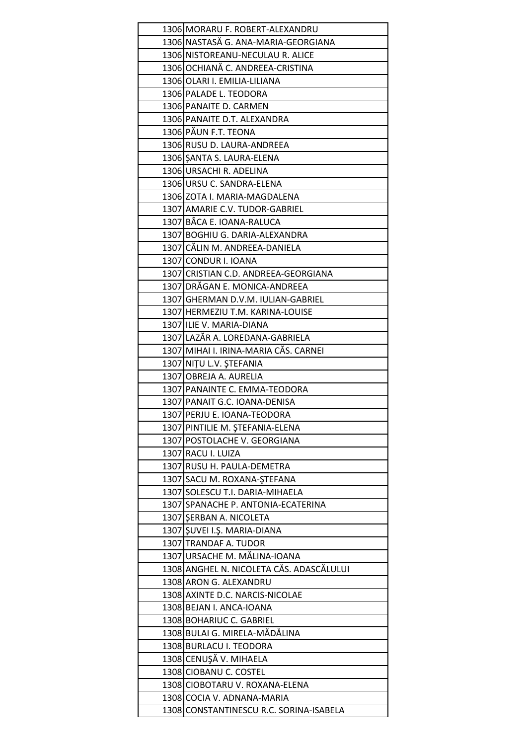| 1306 MORARU F. ROBERT-ALEXANDRU          |
|------------------------------------------|
| 1306 NASTASĂ G. ANA-MARIA-GEORGIANA      |
| 1306 NISTOREANU-NECULAU R. ALICE         |
| 1306 OCHIANĂ C. ANDREEA-CRISTINA         |
| 1306 OLARI I. EMILIA-LILIANA             |
| 1306 PALADE L. TEODORA                   |
| 1306 PANAITE D. CARMEN                   |
| 1306 PANAITE D.T. ALEXANDRA              |
| 1306 PĂUN F.T. TEONA                     |
| 1306 RUSU D. LAURA-ANDREEA               |
| 1306 SANTA S. LAURA-ELENA                |
| 1306 URSACHI R. ADELINA                  |
| 1306 URSU C. SANDRA-ELENA                |
| 1306 ZOTA I. MARIA-MAGDALENA             |
| 1307 AMARIE C.V. TUDOR-GABRIEL           |
| 1307 BÂCA E. IOANA-RALUCA                |
| 1307 BOGHIU G. DARIA-ALEXANDRA           |
| 1307 CĂLIN M. ANDREEA-DANIELA            |
| 1307 CONDUR I. IOANA                     |
| 1307 CRISTIAN C.D. ANDREEA-GEORGIANA     |
| 1307 DRĂGAN E. MONICA-ANDREEA            |
| 1307 GHERMAN D.V.M. IULIAN-GABRIEL       |
| 1307 HERMEZIU T.M. KARINA-LOUISE         |
| 1307 ILIE V. MARIA-DIANA                 |
| 1307 LAZĂR A. LOREDANA-GABRIELA          |
| 1307 MIHAI I. IRINA-MARIA CĂS. CARNEI    |
| 1307 NITU L.V. ŞTEFANIA                  |
| 1307 OBREJA A. AURELIA                   |
| 1307 PANAINTE C. EMMA-TEODORA            |
| 1307 PANAIT G.C. IOANA-DENISA            |
| 1307 PERJU E. IOANA-TEODORA              |
| 1307 PINTILIE M. ȘTEFANIA-ELENA          |
| 1307 POSTOLACHE V. GEORGIANA             |
| 1307 RACU I. LUIZA                       |
| 1307 RUSU H. PAULA-DEMETRA               |
| 1307 SACU M. ROXANA-ŞTEFANA              |
| 1307 SOLESCU T.I. DARIA-MIHAELA          |
| 1307 SPANACHE P. ANTONIA-ECATERINA       |
| 1307 SERBAN A. NICOLETA                  |
| 1307 ŞUVEI I.Ş. MARIA-DIANA              |
| 1307 TRANDAF A. TUDOR                    |
| 1307 URSACHE M. MĂLINA-IOANA             |
| 1308 ANGHEL N. NICOLETA CĂS. ADASCĂLULUI |
| 1308 ARON G. ALEXANDRU                   |
| 1308 AXINTE D.C. NARCIS-NICOLAE          |
| 1308 BEJAN I. ANCA-IOANA                 |
| 1308 BOHARIUC C. GABRIEL                 |
| 1308 BULAI G. MIRELA-MĂDĂLINA            |
| 1308 BURLACU I. TEODORA                  |
| 1308 CENUŞĂ V. MIHAELA                   |
| 1308 CIOBANU C. COSTEL                   |
| 1308 CIOBOTARU V. ROXANA-ELENA           |
| 1308 COCIA V. ADNANA-MARIA               |
| 1308 CONSTANTINESCU R.C. SORINA-ISABELA  |